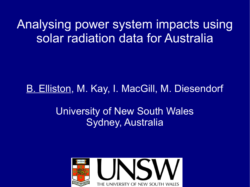#### Analysing power system impacts using solar radiation data for Australia

#### B. Elliston, M. Kay, I. MacGill, M. Diesendorf

#### University of New South Wales Sydney, Australia

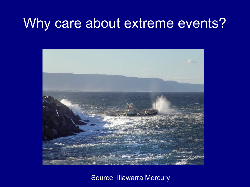#### Why care about extreme events?



Source: Illawarra Mercury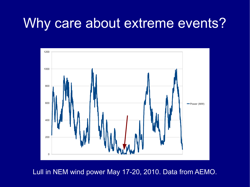#### Why care about extreme events?



Lull in NEM wind power May 17-20, 2010. Data from AEMO.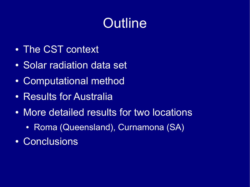# **Outline**

- The CST context
- Solar radiation data set
- Computational method
- Results for Australia
- More detailed results for two locations
	- Roma (Queensland), Curnamona (SA)
- Conclusions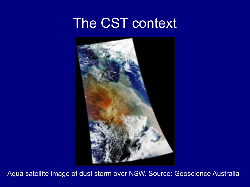#### The CST context



Aqua satellite image of dust storm over NSW. Source: Geoscience Australia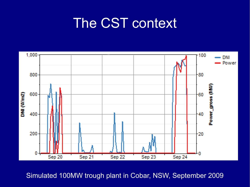## The CST context



Simulated 100MW trough plant in Cobar, NSW, September 2009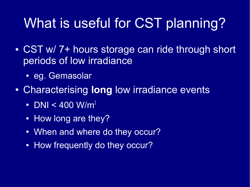# What is useful for CST planning?

- CST w/ 7+ hours storage can ride through short periods of low irradiance
	- eg. Gemasolar
- Characterising **long** low irradiance events
	- DNI < 400 W/m<sup>2</sup>
	- How long are they?
	- When and where do they occur?
	- How frequently do they occur?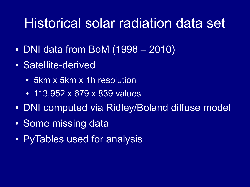## Historical solar radiation data set

- $\cdot$  DNI data from BoM (1998 2010)
- Satellite-derived
	- 5km x 5km x 1h resolution
	- 113,952 x 679 x 839 values
- DNI computed via Ridley/Boland diffuse model
- Some missing data
- PyTables used for analysis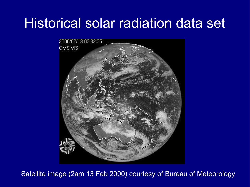## Historical solar radiation data set



Satellite image (2am 13 Feb 2000) courtesy of Bureau of Meteorology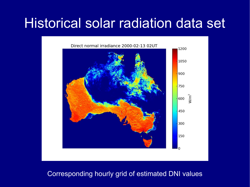#### Historical solar radiation data set



#### Corresponding hourly grid of estimated DNI values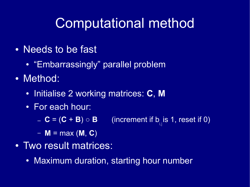# Computational method

- Needs to be fast
	- "Embarrassingly" parallel problem
- Method:
	- Initialise 2 working matrices: **C**, **M**
	- For each hour:
		- $-$  **C** = (**C** + **B**)  $\circ$  **B**  $_{\overline{\mathfrak{h}}_{\text{in}}}$ is 1, reset if 0)
		- $M = max (M, C)$
- Two result matrices:
	- Maximum duration, starting hour number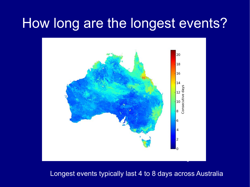#### How long are the longest events?



Longest events typically last 4 to 8 days across Australia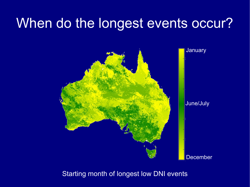## When do the longest events occur?



#### Starting month of longest low DNI events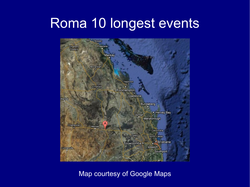#### Roma 10 longest events



#### Map courtesy of Google Maps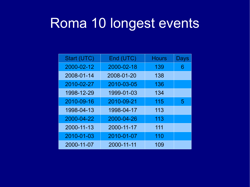## Roma 10 longest events

| Start (UTC) | End (UTC)  | <b>Hours</b> | Days |
|-------------|------------|--------------|------|
| 2000-02-12  | 2000-02-18 | 139          | 6    |
| 2008-01-14  | 2008-01-20 | 138          |      |
| 2010-02-27  | 2010-03-05 | 136          |      |
| 1998-12-29  | 1999-01-03 | 134          |      |
| 2010-09-16  | 2010-09-21 | 115          | 5    |
| 1998-04-13  | 1998-04-17 | 113          |      |
| 2000-04-22  | 2000-04-26 | 113          |      |
| 2000-11-13  | 2000-11-17 | 111          |      |
| 2010-01-03  | 2010-01-07 | 110          |      |
| 2000-11-07  | 2000-11-11 | 109          |      |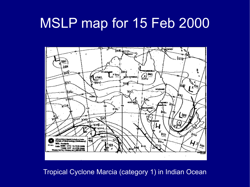### MSLP map for 15 Feb 2000



Tropical Cyclone Marcia (category 1) in Indian Ocean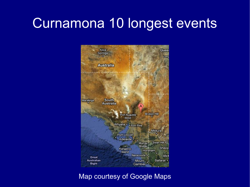# Curnamona 10 longest events



Map courtesy of Google Maps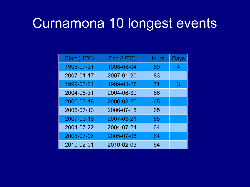# Curnamona 10 longest events

| Start (UTC) | End (UTC)  | <b>Hours</b> | Days |
|-------------|------------|--------------|------|
| 1998-07-31  | 1998-08-04 | 89           | 4    |
| 2007-01-17  | 2007-01-20 | 83           |      |
| 1999-03-24  | 1999-03-27 | 71           | 3    |
| 2004-05-31  | 2004-06-30 | 66           |      |
| 2000-03-18  | 2000-03-20 | 65           |      |
| 2006-07-13  | 2006-07-15 | 65           |      |
| 2007-03-18  | 2007-03-21 | 65           |      |
| 2004-07-22  | 2004-07-24 | 64           |      |
| 2005-07-06  | 2005-07-08 | 64           |      |
| 2010-02-01  | 2010-02-03 | 64           |      |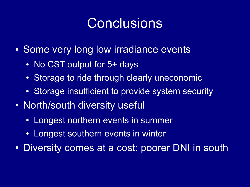# Conclusions

- Some very long low irradiance events
	- No CST output for 5+ days
	- Storage to ride through clearly uneconomic
	- Storage insufficient to provide system security
- North/south diversity useful
	- Longest northern events in summer
	- Longest southern events in winter
- Diversity comes at a cost: poorer DNI in south